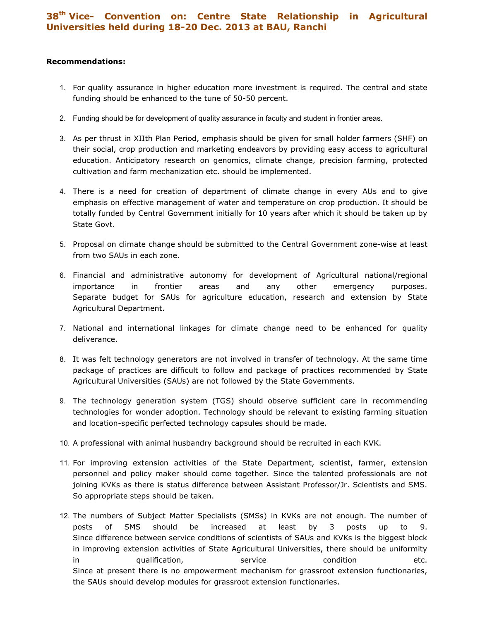## 38th Vice- Convention on: Centre State Relationship in Agricultural Universities held during 18-20 Dec. 2013 at BAU, Ranchi

## Recommendations:

- 1. For quality assurance in higher education more investment is required. The central and state funding should be enhanced to the tune of 50-50 percent.
- 2. Funding should be for development of quality assurance in faculty and student in frontier areas.
- 3. As per thrust in XIIth Plan Period, emphasis should be given for small holder farmers (SHF) on their social, crop production and marketing endeavors by providing easy access to agricultural education. Anticipatory research on genomics, climate change, precision farming, protected cultivation and farm mechanization etc. should be implemented.
- 4. There is a need for creation of department of climate change in every AUs and to give emphasis on effective management of water and temperature on crop production. It should be totally funded by Central Government initially for 10 years after which it should be taken up by State Govt.
- 5. Proposal on climate change should be submitted to the Central Government zone-wise at least from two SAUs in each zone.
- 6. Financial and administrative autonomy for development of Agricultural national/regional importance in frontier areas and any other emergency purposes. Separate budget for SAUs for agriculture education, research and extension by State Agricultural Department.
- 7. National and international linkages for climate change need to be enhanced for quality deliverance.
- 8. It was felt technology generators are not involved in transfer of technology. At the same time package of practices are difficult to follow and package of practices recommended by State Agricultural Universities (SAUs) are not followed by the State Governments.
- 9. The technology generation system (TGS) should observe sufficient care in recommending technologies for wonder adoption. Technology should be relevant to existing farming situation and location-specific perfected technology capsules should be made.
- 10. A professional with animal husbandry background should be recruited in each KVK.
- 11. For improving extension activities of the State Department, scientist, farmer, extension personnel and policy maker should come together. Since the talented professionals are not joining KVKs as there is status difference between Assistant Professor/Jr. Scientists and SMS. So appropriate steps should be taken.
- 12. The numbers of Subject Matter Specialists (SMSs) in KVKs are not enough. The number of posts of SMS should be increased at least by 3 posts up to 9. Since difference between service conditions of scientists of SAUs and KVKs is the biggest block in improving extension activities of State Agricultural Universities, there should be uniformity in qualification, service condition etc. Since at present there is no empowerment mechanism for grassroot extension functionaries, the SAUs should develop modules for grassroot extension functionaries.